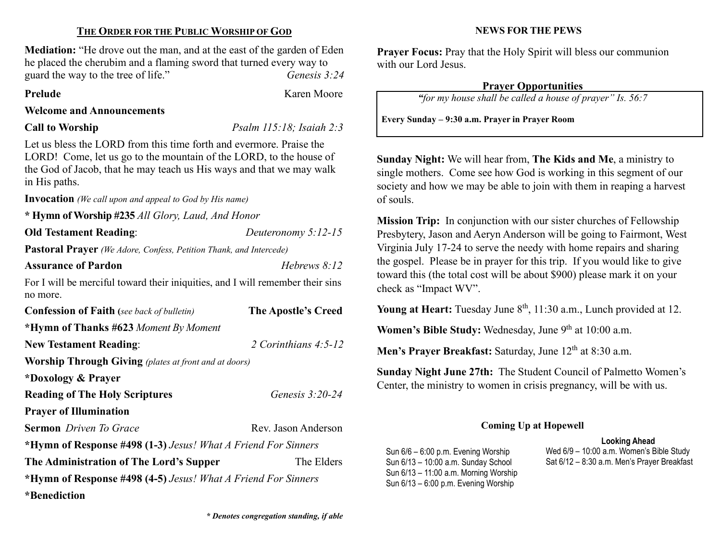## THE ORDER FOR THE PUBLIC WORSHIP OF GOD

Mediation: "He drove out the man, and at the east of the garden of Eden he placed the cherubim and a flaming sword that turned every way to guard the way to the tree of life." Genesis 3:24

Prelude Karen Moore

### Welcome and Announcements

Call to Worship *Psalm 115:18; Isaiah 2:3* 

Let us bless the LORD from this time forth and evermore. Praise the LORD! Come, let us go to the mountain of the LORD, to the house of the God of Jacob, that he may teach us His ways and that we may walk in His paths.

Invocation (We call upon and appeal to God by His name)

\* Hymn of Worship #235 All Glory, Laud, And Honor

Old Testament Reading: Deuteronomy 5:12-15

Pastoral Prayer (We Adore, Confess, Petition Thank, and Intercede)

Assurance of Pardon **Hebrews** 8:12

For I will be merciful toward their iniquities, and I will remember their sins no more.

| <b>Confession of Faith</b> (see back of bulletin)             | The Apostle's Creed    |  |
|---------------------------------------------------------------|------------------------|--|
| *Hymn of Thanks #623 Moment By Moment                         |                        |  |
| <b>New Testament Reading:</b>                                 | 2 Corinthians $4:5-12$ |  |
| <b>Worship Through Giving</b> (plates at front and at doors)  |                        |  |
| *Doxology & Prayer                                            |                        |  |
| <b>Reading of The Holy Scriptures</b>                         | Genesis $3:20-24$      |  |
| <b>Prayer of Illumination</b>                                 |                        |  |
| <b>Sermon</b> Driven To Grace                                 | Rev. Jason Anderson    |  |
| *Hymn of Response #498 (1-3) Jesus! What A Friend For Sinners |                        |  |
| The Administration of The Lord's Supper                       | The Elders             |  |
| *Hymn of Response #498 (4-5) Jesus! What A Friend For Sinners |                        |  |
| *Benediction                                                  |                        |  |

**Mission Trip:** In conjunction with our sister churches of Fellowship

of souls.

Presbytery, Jason and Aeryn Anderson will be going to Fairmont, West Virginia July 17-24 to serve the needy with home repairs and sharing the gospel. Please be in prayer for this trip. If you would like to give toward this (the total cost will be about \$900) please mark it on your check as "Impact WV".

Young at Heart: Tuesday June  $8<sup>th</sup>$ , 11:30 a.m., Lunch provided at 12.

Women's Bible Study: Wednesday, June  $9<sup>th</sup>$  at 10:00 a.m.

Men's Prayer Breakfast: Saturday, June  $12<sup>th</sup>$  at 8:30 a.m.

Sunday Night June 27th: The Student Council of Palmetto Women's Center, the ministry to women in crisis pregnancy, will be with us.

# Coming Up at Hopewell

Sun 6/6 – 6:00 p.m. Evening Worship Sun 6/13 – 10:00 a.m. Sunday School Sun 6/13 – 11:00 a.m. Morning Worship Sun 6/13 – 6:00 p.m. Evening Worship

Looking Ahead Wed 6/9 – 10:00 a.m. Women's Bible Study Sat 6/12 – 8:30 a.m. Men's Prayer Breakfast

\* Denotes congregation standing, if able

# NEWS FOR THE PEWS

Prayer Focus: Pray that the Holy Spirit will bless our communion with our Lord Jesus.

# Prayer Opportunities

"for my house shall be called a house of prayer" Is. 56:7

Sunday Night: We will hear from, The Kids and Me, a ministry to single mothers. Come see how God is working in this segment of our society and how we may be able to join with them in reaping a harvest

Every Sunday – 9:30 a.m. Prayer in Prayer Room